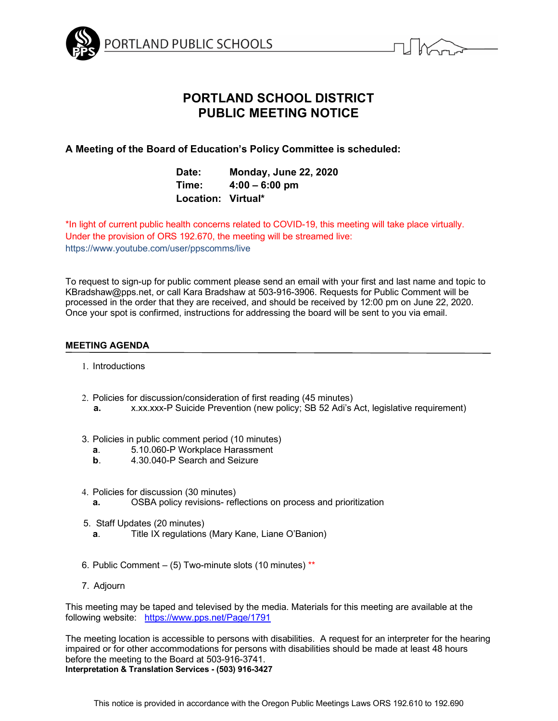



# **PORTLAND SCHOOL DISTRICT PUBLIC MEETING NOTICE**

# **A Meeting of the Board of Education's Policy Committee is scheduled:**

| Date:              | <b>Monday, June 22, 2020</b> |
|--------------------|------------------------------|
| Time:              | $4:00 - 6:00$ pm             |
| Location: Virtual* |                              |

\*In light of current public health concerns related to COVID-19, this meeting will take place virtually. Under the provision of ORS 192.670, the meeting will be streamed live: https://www.youtube.com/user/ppscomms/live

To request to sign-up for public comment please send an email with your first and last name and topic to KBradshaw@pps.net, or call Kara Bradshaw at 503-916-3906. Requests for Public Comment will be processed in the order that they are received, and should be received by 12:00 pm on June 22, 2020. Once your spot is confirmed, instructions for addressing the board will be sent to you via email.

# **MEETING AGENDA**

- 1. Introductions
- 2. Policies for discussion/consideration of first reading (45 minutes)
	- **a.** x.xx.xxx-P Suicide Prevention (new policy; SB 52 Adi's Act, legislative requirement)
- 3. Policies in public comment period (10 minutes)
	- **a**. 5.10.060-P Workplace Harassment
	- **b**. 4.30.040-P Search and Seizure
- 4. Policies for discussion (30 minutes)
	- **a.** OSBA policy revisions- reflections on process and prioritization
- 5. Staff Updates (20 minutes)
	- **a**. Title IX regulations (Mary Kane, Liane O'Banion)
- 6. Public Comment  $-$  (5) Two-minute slots (10 minutes) \*\*
- 7. Adjourn

This meeting may be taped and televised by the media. Materials for this meeting are available at the following website: https://www.pps.net/Page/1791

The meeting location is accessible to persons with disabilities. A request for an interpreter for the hearing impaired or for other accommodations for persons with disabilities should be made at least 48 hours before the meeting to the Board at 503-916-3741. **Interpretation & Translation Services - (503) 916-3427**